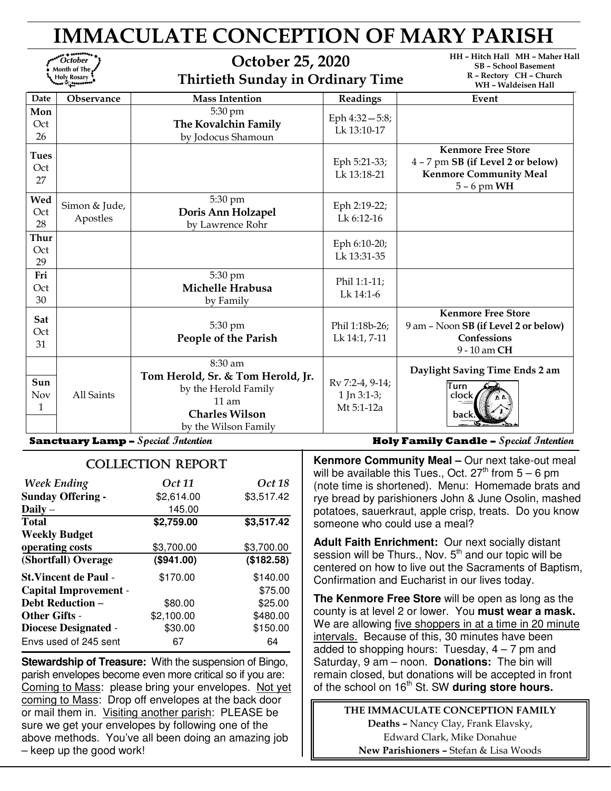# IMMACULATE CONCEPTION OF MARY PARISH

**October** Month of The **Holy Rosary** 

October 25, 2020 Thirtieth Sunday in Ordinary Time HH – Hitch Hall MH – Maher Hall SB – School Basement R – Rectory CH – Church WH – Waldeisen Hall

|                          |                           |                                                                                                                                  |                                                   | VVII – VVAIUCIJCII IIAII                                                                                         |
|--------------------------|---------------------------|----------------------------------------------------------------------------------------------------------------------------------|---------------------------------------------------|------------------------------------------------------------------------------------------------------------------|
| Date                     | Observance                | <b>Mass Intention</b>                                                                                                            | Readings                                          | Event                                                                                                            |
| Mon<br>Oct<br>26         |                           | 5:30 pm<br>The Kovalchin Family<br>by Jodocus Shamoun                                                                            | Eph 4:32-5:8;<br>Lk 13:10-17                      |                                                                                                                  |
| <b>Tues</b><br>Oct<br>27 |                           |                                                                                                                                  | Eph 5:21-33;<br>Lk 13:18-21                       | <b>Kenmore Free Store</b><br>4 - 7 pm SB (if Level 2 or below)<br><b>Kenmore Community Meal</b><br>$5 - 6$ pm WH |
| Wed<br>Oct<br>28         | Simon & Jude,<br>Apostles | 5:30 pm<br>Doris Ann Holzapel<br>by Lawrence Rohr                                                                                | Eph 2:19-22;<br>Lk 6:12-16                        |                                                                                                                  |
| <b>Thur</b><br>Oct<br>29 |                           |                                                                                                                                  | Eph 6:10-20;<br>Lk 13:31-35                       |                                                                                                                  |
| Fri<br>Oct<br>30         |                           | 5:30 pm<br>Michelle Hrabusa<br>by Family                                                                                         | Phil 1:1-11;<br>Lk 14:1-6                         |                                                                                                                  |
| Sat<br>Oct<br>31         |                           | 5:30 pm<br>People of the Parish                                                                                                  | Phil 1:18b-26;<br>Lk 14:1, 7-11                   | <b>Kenmore Free Store</b><br>9 am - Noon SB (if Level 2 or below)<br>Confessions<br>9 - 10 am CH                 |
| Sun<br><b>Nov</b><br>1   | All Saints                | 8:30 am<br>Tom Herold, Sr. & Tom Herold, Jr.<br>by the Herold Family<br>$11$ am<br><b>Charles Wilson</b><br>by the Wilson Family | Rv 7:2-4, 9-14;<br>$1$ Jn $3:1-3$ ;<br>Mt 5:1-12a | Daylight Saving Time Ends 2 am<br>Turn<br>clock<br>back                                                          |
|                          |                           | $C_{\text{model}}$ $T_{\text{model}}$                                                                                            | 보호 - 1-- 포크.                                      | $\mathcal{C}_{\mathcal{A}}$ and $\mathcal{C}_{\mathcal{A}}$ and $\mathcal{C}_{\mathcal{A}}$<br>л.                |

**Sanctuary Lamp –** Special Intention **Holy Family Candle –** Special Intention

| <b>COLLECTION REPORT</b>     |            |            |  |  |
|------------------------------|------------|------------|--|--|
| <b>Week Ending</b>           | Oct 11     | Oct 18     |  |  |
| <b>Sunday Offering -</b>     | \$2,614.00 | \$3,517.42 |  |  |
| Daily $-$                    | 145.00     |            |  |  |
| <b>Total</b>                 | \$2,759.00 | \$3,517.42 |  |  |
| <b>Weekly Budget</b>         |            |            |  |  |
| operating costs              | \$3,700.00 | \$3,700.00 |  |  |
| (Shortfall) Overage          | (\$941.00) | (\$182.58) |  |  |
| <b>St. Vincent de Paul -</b> | \$170.00   | \$140.00   |  |  |
| <b>Capital Improvement -</b> |            | \$75.00    |  |  |
| <b>Debt Reduction -</b>      | \$80.00    | \$25.00    |  |  |
| <b>Other Gifts -</b>         | \$2,100.00 | \$480.00   |  |  |
| <b>Diocese Designated -</b>  | \$30.00    | \$150.00   |  |  |
| Envs used of 245 sent        | 67         | 64         |  |  |

**Stewardship of Treasure:** With the suspension of Bingo, parish envelopes become even more critical so if you are: Coming to Mass: please bring your envelopes. Not yet coming to Mass: Drop off envelopes at the back door or mail them in. Visiting another parish: PLEASE be sure we get your envelopes by following one of the above methods. You've all been doing an amazing job – keep up the good work!

**Kenmore Community Meal –** Our next take-out meal will be available this Tues., Oct.  $27<sup>th</sup>$  from  $5 - 6$  pm (note time is shortened). Menu: Homemade brats and rye bread by parishioners John & June Osolin, mashed

**Adult Faith Enrichment:** Our next socially distant session will be Thurs., Nov.  $5<sup>th</sup>$  and our topic will be centered on how to live out the Sacraments of Baptism, Confirmation and Eucharist in our lives today.

potatoes, sauerkraut, apple crisp, treats. Do you know

someone who could use a meal?

**The Kenmore Free Store** will be open as long as the county is at level 2 or lower. You **must wear a mask.** We are allowing five shoppers in at a time in 20 minute intervals. Because of this, 30 minutes have been added to shopping hours: Tuesday,  $4 - 7$  pm and Saturday, 9 am – noon. **Donations:** The bin will remain closed, but donations will be accepted in front of the school on 16<sup>th</sup> St. SW during store hours.

> THE IMMACULATE CONCEPTION FAMILY Deaths – Nancy Clay, Frank Elavsky, Edward Clark, Mike Donahue New Parishioners – Stefan & Lisa Woods